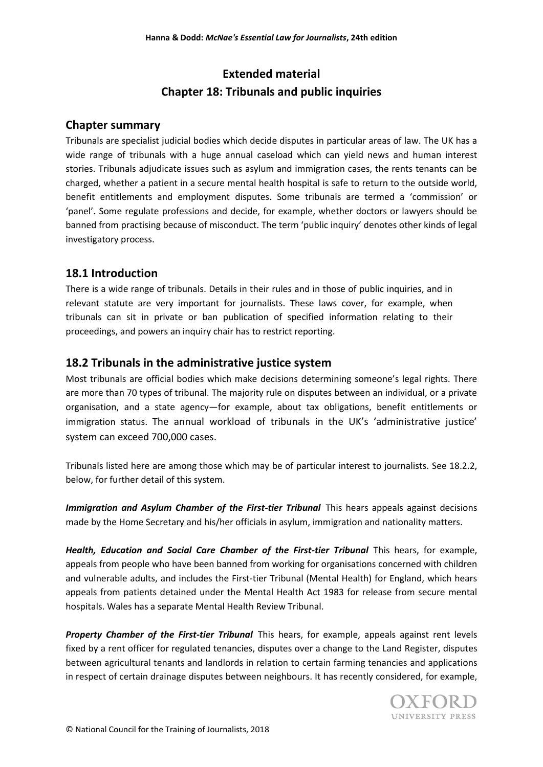# **Extended material Chapter 18: Tribunals and public inquiries**

# **Chapter summary**

Tribunals are specialist judicial bodies which decide disputes in particular areas of law. The UK has a wide range of tribunals with a huge annual caseload which can yield news and human interest stories. Tribunals adjudicate issues such as asylum and immigration cases, the rents tenants can be charged, whether a patient in a secure mental health hospital is safe to return to the outside world, benefit entitlements and employment disputes. Some tribunals are termed a 'commission' or 'panel'. Some regulate professions and decide, for example, whether doctors or lawyers should be banned from practising because of misconduct. The term 'public inquiry' denotes other kinds of legal investigatory process.

# **18.1 Introduction**

There is a wide range of tribunals. Details in their rules and in those of public inquiries, and in relevant statute are very important for journalists. These laws cover, for example, when tribunals can sit in private or ban publication of specified information relating to their proceedings, and powers an inquiry chair has to restrict reporting.

# **18.2 Tribunals in the administrative justice system**

Most tribunals are official bodies which make decisions determining someone's legal rights. There are more than 70 types of tribunal. The majority rule on disputes between an individual, or a private organisation, and a state agency—for example, about tax obligations, benefit entitlements or immigration status. The annual workload of tribunals in the UK's 'administrative justice' system can exceed 700,000 cases.

Tribunals listed here are among those which may be of particular interest to journalists. See 18.2.2, below, for further detail of this system.

*Immigration and Asylum Chamber of the First-tier Tribunal This hears appeals against decisions* made by the Home Secretary and his/her officials in asylum, immigration and nationality matters.

*Health, Education and Social Care Chamber of the First-tier Tribunal* This hears, for example, appeals from people who have been banned from working for organisations concerned with children and vulnerable adults, and includes the First-tier Tribunal (Mental Health) for England, which hears appeals from patients detained under the Mental Health Act 1983 for release from secure mental hospitals. Wales has a separate Mental Health Review Tribunal.

*Property Chamber of the First-tier Tribunal* This hears, for example, appeals against rent levels fixed by a rent officer for regulated tenancies, disputes over a change to the Land Register, disputes between agricultural tenants and landlords in relation to certain farming tenancies and applications in respect of certain drainage disputes between neighbours. It has recently considered, for example,

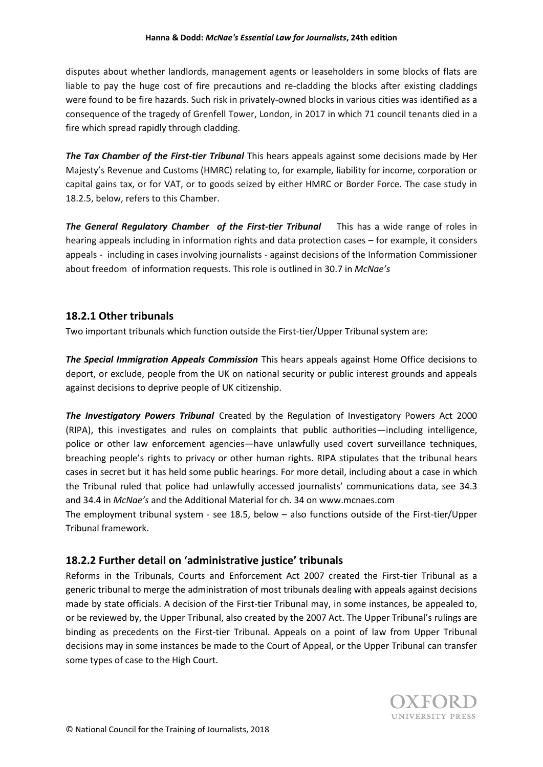disputes about whether landlords, management agents or leaseholders in some blocks of flats are liable to pay the huge cost of fire precautions and re-cladding the blocks after existing claddings were found to be fire hazards. Such risk in privately-owned blocks in various cities was identified as a consequence of the tragedy of Grenfell Tower, London, in 2017 in which 71 council tenants died in a fire which spread rapidly through cladding.

**The Tax Chamber of the First-tier Tribunal** This hears appeals against some decisions made by Her Majesty's Revenue and Customs (HMRC) relating to, for example, liability for income, corporation or capital gains tax, or for VAT, or to goods seized by either HMRC or Border Force. The case study in 18.2.5, below, refers to this Chamber.

*The General Regulatory Chamber**of the First-tier Tribunal*This has a wide range of roles in hearing appeals including in information rights and data protection cases – for example, it considers appeals - including in cases involving journalists - against decisions of the Information Commissioner about freedom of information requests. This role is outlined in 30.7 in *McNae's*

### **18.2.1 Other tribunals**

Two important tribunals which function outside the First-tier/Upper Tribunal system are:

*The Special Immigration Appeals Commission* This hears appeals against Home Office decisions to deport, or exclude, people from the UK on national security or public interest grounds and appeals against decisions to deprive people of UK citizenship.

*The Investigatory Powers Tribunal* Created by the Regulation of Investigatory Powers Act 2000 (RIPA), this investigates and rules on complaints that public authorities—including intelligence, police or other law enforcement agencies—have unlawfully used covert surveillance techniques, breaching people's rights to privacy or other human rights. RIPA stipulates that the tribunal hears cases in secret but it has held some public hearings. For more detail, including about a case in which the Tribunal ruled that police had unlawfully accessed journalists' communications data, see 34.3 and 34.4 in *McNae's* and the Additional Material for ch. 34 on www.mcnaes.com

The employment tribunal system - see 18.5, below – also functions outside of the First-tier/Upper Tribunal framework.

# **18.2.2 Further detail on 'administrative justice' tribunals**

Reforms in the Tribunals, Courts and Enforcement Act 2007 created the First-tier Tribunal as a generic tribunal to merge the administration of most tribunals dealing with appeals against decisions made by state officials. A decision of the First-tier Tribunal may, in some instances, be appealed to, or be reviewed by, the Upper Tribunal, also created by the 2007 Act. The Upper Tribunal's rulings are binding as precedents on the First-tier Tribunal. Appeals on a point of law from Upper Tribunal decisions may in some instances be made to the Court of Appeal, or the Upper Tribunal can transfer some types of case to the High Court.

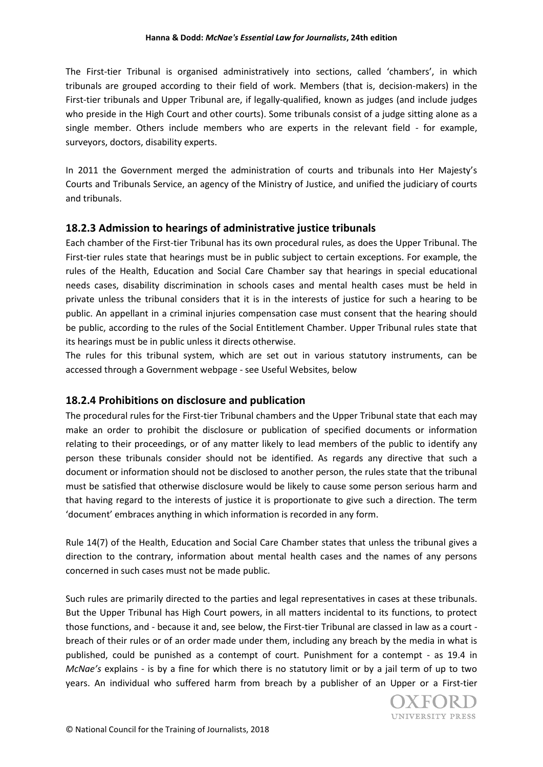The First-tier Tribunal is organised administratively into sections, called 'chambers', in which tribunals are grouped according to their field of work. Members (that is, decision-makers) in the First-tier tribunals and Upper Tribunal are, if legally-qualified, known as judges (and include judges who preside in the High Court and other courts). Some tribunals consist of a judge sitting alone as a single member. Others include members who are experts in the relevant field - for example, surveyors, doctors, disability experts.

In 2011 the Government merged the administration of courts and tribunals into Her Majesty's Courts and Tribunals Service, an agency of the Ministry of Justice, and unified the judiciary of courts and tribunals.

# **18.2.3 Admission to hearings of administrative justice tribunals**

Each chamber of the First-tier Tribunal has its own procedural rules, as does the Upper Tribunal. The First-tier rules state that hearings must be in public subject to certain exceptions. For example, the rules of the Health, Education and Social Care Chamber say that hearings in special educational needs cases, disability discrimination in schools cases and mental health cases must be held in private unless the tribunal considers that it is in the interests of justice for such a hearing to be public. An appellant in a criminal injuries compensation case must consent that the hearing should be public, according to the rules of the Social Entitlement Chamber. Upper Tribunal rules state that its hearings must be in public unless it directs otherwise.

The rules for this tribunal system, which are set out in various statutory instruments, can be accessed through a Government webpage - see Useful Websites, below

### **18.2.4 Prohibitions on disclosure and publication**

The procedural rules for the First-tier Tribunal chambers and the Upper Tribunal state that each may make an order to prohibit the disclosure or publication of specified documents or information relating to their proceedings, or of any matter likely to lead members of the public to identify any person these tribunals consider should not be identified. As regards any directive that such a document or information should not be disclosed to another person, the rules state that the tribunal must be satisfied that otherwise disclosure would be likely to cause some person serious harm and that having regard to the interests of justice it is proportionate to give such a direction. The term 'document' embraces anything in which information is recorded in any form.

Rule 14(7) of the Health, Education and Social Care Chamber states that unless the tribunal gives a direction to the contrary, information about mental health cases and the names of any persons concerned in such cases must not be made public.

Such rules are primarily directed to the parties and legal representatives in cases at these tribunals. But the Upper Tribunal has High Court powers, in all matters incidental to its functions, to protect those functions, and - because it and, see below, the First-tier Tribunal are classed in law as a court breach of their rules or of an order made under them, including any breach by the media in what is published, could be punished as a contempt of court. Punishment for a contempt - as 19.4 in *McNae's* explains - is by a fine for which there is no statutory limit or by a jail term of up to two years. An individual who suffered harm from breach by a publisher of an Upper or a First-tier

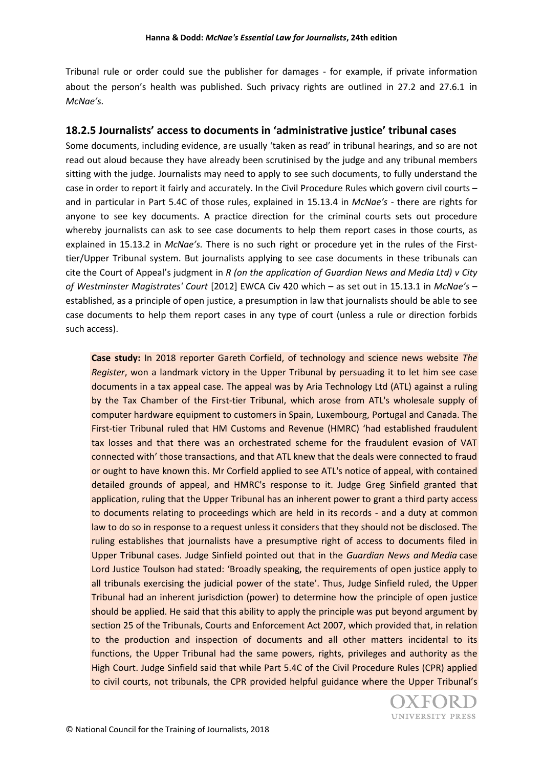Tribunal rule or order could sue the publisher for damages - for example, if private information about the person's health was published. Such privacy rights are outlined in 27.2 and 27.6.1 in *McNae's.*

# **18.2.5 Journalists' access to documents in 'administrative justice' tribunal cases**

Some documents, including evidence, are usually 'taken as read' in tribunal hearings, and so are not read out aloud because they have already been scrutinised by the judge and any tribunal members sitting with the judge. Journalists may need to apply to see such documents, to fully understand the case in order to report it fairly and accurately. In the Civil Procedure Rules which govern civil courts – and in particular in Part 5.4C of those rules, explained in 15.13.4 in *McNae's* - there are rights for anyone to see key documents. A practice direction for the criminal courts sets out procedure whereby journalists can ask to see case documents to help them report cases in those courts, as explained in 15.13.2 in *McNae's.* There is no such right or procedure yet in the rules of the Firsttier/Upper Tribunal system. But journalists applying to see case documents in these tribunals can cite the Court of Appeal's judgment in *R (on the application of Guardian News and Media Ltd) v City of Westminster Magistrates' Court* [2012] EWCA Civ 420 which – as set out in 15.13.1 in *McNae's* – established, as a principle of open justice, a presumption in law that journalists should be able to see case documents to help them report cases in any type of court (unless a rule or direction forbids such access).

**Case study:** In 2018 reporter Gareth Corfield, of technology and science news website *The Register*, won a landmark victory in the Upper Tribunal by persuading it to let him see case documents in a tax appeal case. The appeal was by Aria Technology Ltd (ATL) against a ruling by the Tax Chamber of the First-tier Tribunal, which arose from ATL's wholesale supply of computer hardware equipment to customers in Spain, Luxembourg, Portugal and Canada. The First-tier Tribunal ruled that HM Customs and Revenue (HMRC) 'had established fraudulent tax losses and that there was an orchestrated scheme for the fraudulent evasion of VAT connected with' those transactions, and that ATL knew that the deals were connected to fraud or ought to have known this. Mr Corfield applied to see ATL's notice of appeal, with contained detailed grounds of appeal, and HMRC's response to it. Judge Greg Sinfield granted that application, ruling that the Upper Tribunal has an inherent power to grant a third party access to documents relating to proceedings which are held in its records - and a duty at common law to do so in response to a request unless it considers that they should not be disclosed. The ruling establishes that journalists have a presumptive right of access to documents filed in Upper Tribunal cases. Judge Sinfield pointed out that in the *Guardian News and Media* case Lord Justice Toulson had stated: 'Broadly speaking, the requirements of open justice apply to all tribunals exercising the judicial power of the state'. Thus, Judge Sinfield ruled, the Upper Tribunal had an inherent jurisdiction (power) to determine how the principle of open justice should be applied. He said that this ability to apply the principle was put beyond argument by section 25 of the Tribunals, Courts and Enforcement Act 2007, which provided that, in relation to the production and inspection of documents and all other matters incidental to its functions, the Upper Tribunal had the same powers, rights, privileges and authority as the High Court. Judge Sinfield said that while Part 5.4C of the Civil Procedure Rules (CPR) applied to civil courts, not tribunals, the CPR provided helpful guidance where the Upper Tribunal's

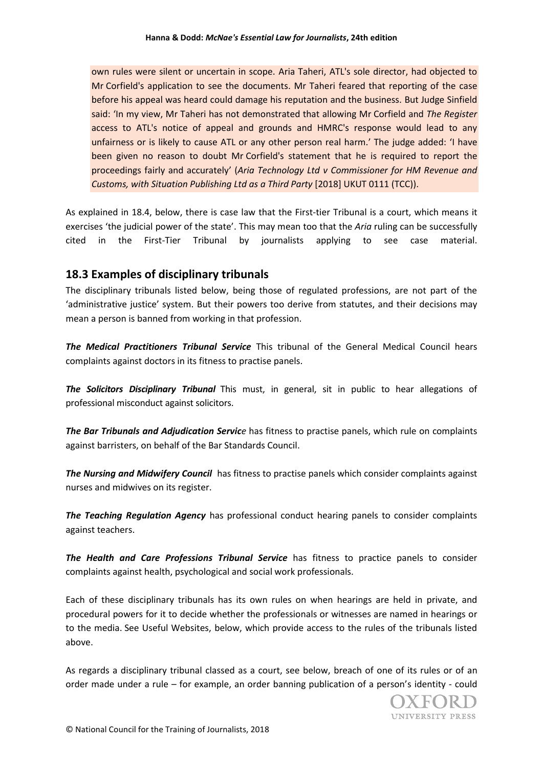own rules were silent or uncertain in scope. Aria Taheri, ATL's sole director, had objected to Mr Corfield's application to see the documents. Mr Taheri feared that reporting of the case before his appeal was heard could damage his reputation and the business. But Judge Sinfield said: 'In my view, Mr Taheri has not demonstrated that allowing Mr Corfield and *The Register* access to ATL's notice of appeal and grounds and HMRC's response would lead to any unfairness or is likely to cause ATL or any other person real harm.' The judge added: 'I have been given no reason to doubt Mr Corfield's statement that he is required to report the proceedings fairly and accurately' (*Aria Technology Ltd v Commissioner for HM Revenue and Customs, with Situation Publishing Ltd as a Third Party* [2018] UKUT 0111 (TCC)).

As explained in 18.4, below, there is case law that the First-tier Tribunal is a court, which means it exercises 'the judicial power of the state'. This may mean too that the *Aria* ruling can be successfully cited in the First-Tier Tribunal by journalists applying to see case material.

# **18.3 Examples of disciplinary tribunals**

The disciplinary tribunals listed below, being those of regulated professions, are not part of the 'administrative justice' system. But their powers too derive from statutes, and their decisions may mean a person is banned from working in that profession.

*The Medical Practitioners Tribunal Service* This tribunal of the General Medical Council hears complaints against doctors in its fitness to practise panels.

*The Solicitors Disciplinary Tribunal* This must, in general, sit in public to hear allegations of professional misconduct against solicitors.

*The Bar Tribunals and Adjudication Service* has fitness to practise panels, which rule on complaints against barristers, on behalf of the Bar Standards Council.

*The Nursing and Midwifery Council* has fitness to practise panels which consider complaints against nurses and midwives on its register.

*The Teaching Regulation Agency* has professional conduct hearing panels to consider complaints against teachers.

*The Health and Care Professions Tribunal Service* has fitness to practice panels to consider complaints against health, psychological and social work professionals.

Each of these disciplinary tribunals has its own rules on when hearings are held in private, and procedural powers for it to decide whether the professionals or witnesses are named in hearings or to the media. See Useful Websites, below, which provide access to the rules of the tribunals listed above.

As regards a disciplinary tribunal classed as a court, see below, breach of one of its rules or of an order made under a rule – for example, an order banning publication of a person's identity - could

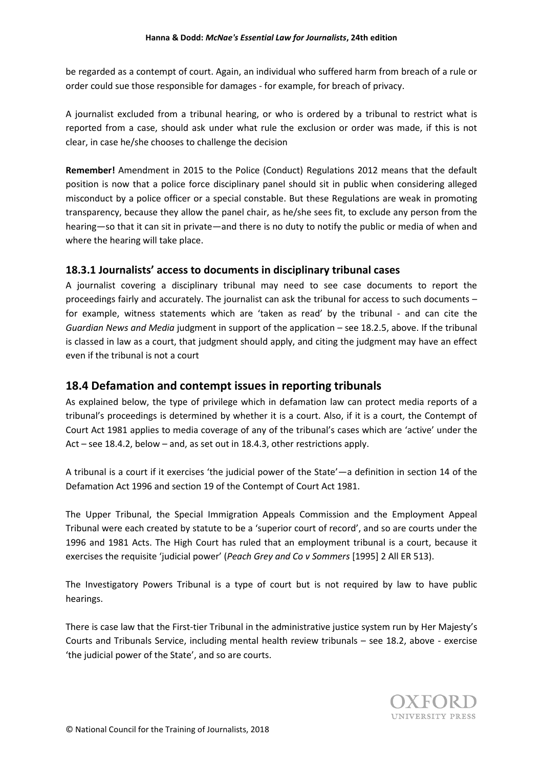be regarded as a contempt of court. Again, an individual who suffered harm from breach of a rule or order could sue those responsible for damages - for example, for breach of privacy.

A journalist excluded from a tribunal hearing, or who is ordered by a tribunal to restrict what is reported from a case, should ask under what rule the exclusion or order was made, if this is not clear, in case he/she chooses to challenge the decision

**Remember!** Amendment in 2015 to the Police (Conduct) Regulations 2012 means that the default position is now that a police force disciplinary panel should sit in public when considering alleged misconduct by a police officer or a special constable. But these Regulations are weak in promoting transparency, because they allow the panel chair, as he/she sees fit, to exclude any person from the hearing—so that it can sit in private—and there is no duty to notify the public or media of when and where the hearing will take place.

### **18.3.1 Journalists' access to documents in disciplinary tribunal cases**

A journalist covering a disciplinary tribunal may need to see case documents to report the proceedings fairly and accurately. The journalist can ask the tribunal for access to such documents – for example, witness statements which are 'taken as read' by the tribunal - and can cite the *Guardian News and Media* judgment in support of the application – see 18.2.5, above. If the tribunal is classed in law as a court, that judgment should apply, and citing the judgment may have an effect even if the tribunal is not a court

# **18.4 Defamation and contempt issues in reporting tribunals**

As explained below, the type of privilege which in defamation law can protect media reports of a tribunal's proceedings is determined by whether it is a court. Also, if it is a court, the Contempt of Court Act 1981 applies to media coverage of any of the tribunal's cases which are 'active' under the Act – see 18.4.2, below – and, as set out in 18.4.3, other restrictions apply.

A tribunal is a court if it exercises 'the judicial power of the State'—a definition in section 14 of the Defamation Act 1996 and section 19 of the Contempt of Court Act 1981.

The Upper Tribunal, the Special Immigration Appeals Commission and the Employment Appeal Tribunal were each created by statute to be a 'superior court of record', and so are courts under the 1996 and 1981 Acts. The High Court has ruled that an employment tribunal is a court, because it exercises the requisite 'judicial power' (*Peach Grey and Co v Sommers* [1995] 2 All ER 513).

The Investigatory Powers Tribunal is a type of court but is not required by law to have public hearings.

There is case law that the First-tier Tribunal in the administrative justice system run by Her Majesty's Courts and Tribunals Service, including mental health review tribunals – see 18.2, above - exercise 'the judicial power of the State', and so are courts.

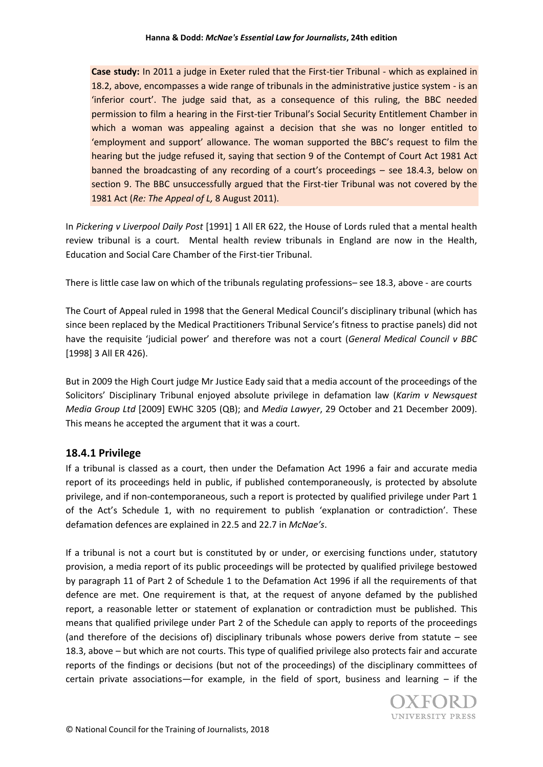**Case study:** In 2011 a judge in Exeter ruled that the First-tier Tribunal - which as explained in 18.2, above, encompasses a wide range of tribunals in the administrative justice system - is an 'inferior court'. The judge said that, as a consequence of this ruling, the BBC needed permission to film a hearing in the First-tier Tribunal's Social Security Entitlement Chamber in which a woman was appealing against a decision that she was no longer entitled to 'employment and support' allowance. The woman supported the BBC's request to film the hearing but the judge refused it, saying that section 9 of the Contempt of Court Act 1981 Act banned the broadcasting of any recording of a court's proceedings – see 18.4.3, below on section 9. The BBC unsuccessfully argued that the First-tier Tribunal was not covered by the 1981 Act (*Re: The Appeal of L,* 8 August 2011).

In *Pickering v Liverpool Daily Post* [1991] 1 All ER 622, the House of Lords ruled that a mental health review tribunal is a court. Mental health review tribunals in England are now in the Health, Education and Social Care Chamber of the First-tier Tribunal.

There is little case law on which of the tribunals regulating professions– see 18.3, above - are courts

The Court of Appeal ruled in 1998 that the General Medical Council's disciplinary tribunal (which has since been replaced by the Medical Practitioners Tribunal Service's fitness to practise panels) did not have the requisite 'judicial power' and therefore was not a court (*General Medical Council v BBC* [1998] 3 All ER 426).

But in 2009 the High Court judge Mr Justice Eady said that a media account of the proceedings of the Solicitors' Disciplinary Tribunal enjoyed absolute privilege in defamation law (*Karim v Newsquest Media Group Ltd* [2009] EWHC 3205 (QB); and *Media Lawyer*, 29 October and 21 December 2009). This means he accepted the argument that it was a court.

### **18.4.1 Privilege**

If a tribunal is classed as a court, then under the Defamation Act 1996 a fair and accurate media report of its proceedings held in public, if published contemporaneously, is protected by absolute privilege, and if non-contemporaneous, such a report is protected by qualified privilege under Part 1 of the Act's Schedule 1, with no requirement to publish 'explanation or contradiction'. These defamation defences are explained in 22.5 and 22.7 in *McNae's*.

If a tribunal is not a court but is constituted by or under, or exercising functions under, statutory provision, a media report of its public proceedings will be protected by qualified privilege bestowed by paragraph 11 of Part 2 of Schedule 1 to the Defamation Act 1996 if all the requirements of that defence are met. One requirement is that, at the request of anyone defamed by the published report, a reasonable letter or statement of explanation or contradiction must be published. This means that qualified privilege under Part 2 of the Schedule can apply to reports of the proceedings (and therefore of the decisions of) disciplinary tribunals whose powers derive from statute – see 18.3, above – but which are not courts. This type of qualified privilege also protects fair and accurate reports of the findings or decisions (but not of the proceedings) of the disciplinary committees of certain private associations—for example, in the field of sport, business and learning  $-$  if the

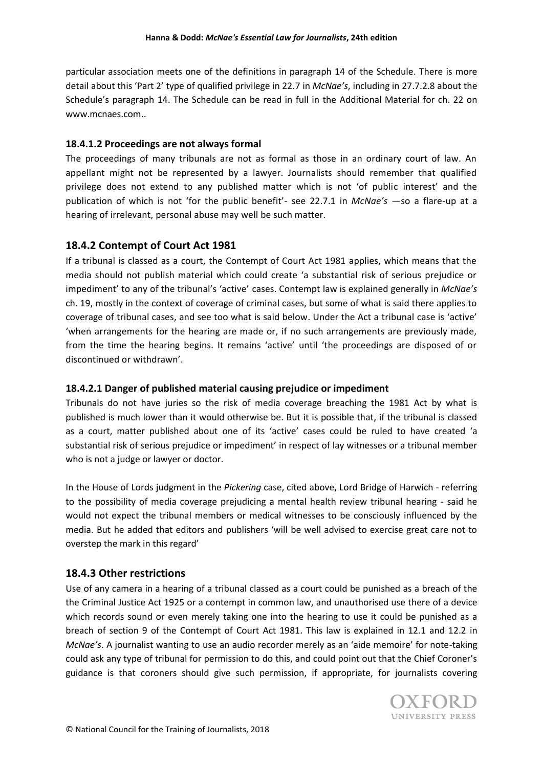particular association meets one of the definitions in paragraph 14 of the Schedule. There is more detail about this 'Part 2' type of qualified privilege in 22.7 in *McNae's*, including in 27.7.2.8 about the Schedule's paragraph 14. The Schedule can be read in full in the Additional Material for ch. 22 on www.mcnaes.com..

### **18.4.1.2 Proceedings are not always formal**

The proceedings of many tribunals are not as formal as those in an ordinary court of law. An appellant might not be represented by a lawyer. Journalists should remember that qualified privilege does not extend to any published matter which is not 'of public interest' and the publication of which is not 'for the public benefit'- see 22.7.1 in *McNae's* —so a flare-up at a hearing of irrelevant, personal abuse may well be such matter.

# **18.4.2 Contempt of Court Act 1981**

If a tribunal is classed as a court, the Contempt of Court Act 1981 applies, which means that the media should not publish material which could create 'a substantial risk of serious prejudice or impediment' to any of the tribunal's 'active' cases. Contempt law is explained generally in *McNae's* ch. 19, mostly in the context of coverage of criminal cases, but some of what is said there applies to coverage of tribunal cases, and see too what is said below. Under the Act a tribunal case is 'active' 'when arrangements for the hearing are made or, if no such arrangements are previously made, from the time the hearing begins. It remains 'active' until 'the proceedings are disposed of or discontinued or withdrawn'.

### **18.4.2.1 Danger of published material causing prejudice or impediment**

Tribunals do not have juries so the risk of media coverage breaching the 1981 Act by what is published is much lower than it would otherwise be. But it is possible that, if the tribunal is classed as a court, matter published about one of its 'active' cases could be ruled to have created 'a substantial risk of serious prejudice or impediment' in respect of lay witnesses or a tribunal member who is not a judge or lawyer or doctor.

In the House of Lords judgment in the *Pickering* case, cited above, Lord Bridge of Harwich - referring to the possibility of media coverage prejudicing a mental health review tribunal hearing - said he would not expect the tribunal members or medical witnesses to be consciously influenced by the media. But he added that editors and publishers 'will be well advised to exercise great care not to overstep the mark in this regard'

# **18.4.3 Other restrictions**

Use of any camera in a hearing of a tribunal classed as a court could be punished as a breach of the the Criminal Justice Act 1925 or a contempt in common law, and unauthorised use there of a device which records sound or even merely taking one into the hearing to use it could be punished as a breach of section 9 of the Contempt of Court Act 1981. This law is explained in 12.1 and 12.2 in *McNae's*. A journalist wanting to use an audio recorder merely as an 'aide memoire' for note-taking could ask any type of tribunal for permission to do this, and could point out that the Chief Coroner's guidance is that coroners should give such permission, if appropriate, for journalists covering

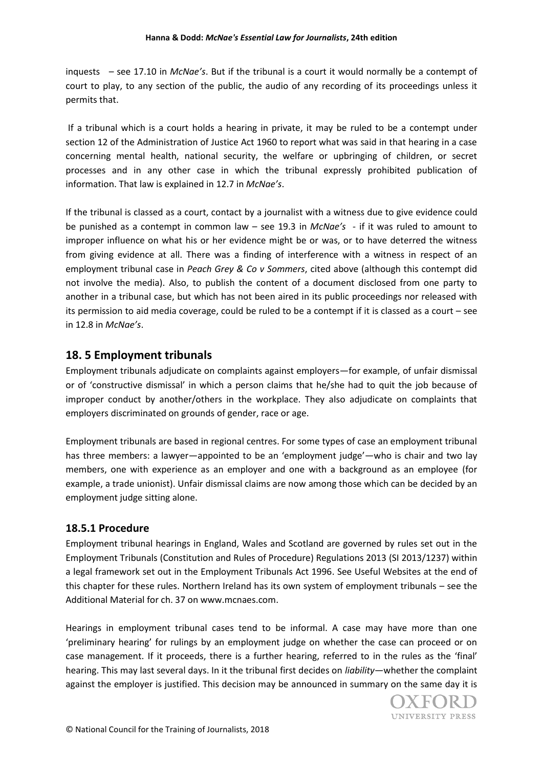inquests – see 17.10 in *McNae's*. But if the tribunal is a court it would normally be a contempt of court to play, to any section of the public, the audio of any recording of its proceedings unless it permits that.

If a tribunal which is a court holds a hearing in private, it may be ruled to be a contempt under section 12 of the Administration of Justice Act 1960 to report what was said in that hearing in a case concerning mental health, national security, the welfare or upbringing of children, or secret processes and in any other case in which the tribunal expressly prohibited publication of information. That law is explained in 12.7 in *McNae's*.

If the tribunal is classed as a court, contact by a journalist with a witness due to give evidence could be punished as a contempt in common law – see 19.3 in *McNae's* - if it was ruled to amount to improper influence on what his or her evidence might be or was, or to have deterred the witness from giving evidence at all. There was a finding of interference with a witness in respect of an employment tribunal case in *Peach Grey & Co v Sommers*, cited above (although this contempt did not involve the media). Also, to publish the content of a document disclosed from one party to another in a tribunal case, but which has not been aired in its public proceedings nor released with its permission to aid media coverage, could be ruled to be a contempt if it is classed as a court – see in 12.8 in *McNae's*.

# **18. 5 Employment tribunals**

Employment tribunals adjudicate on complaints against employers—for example, of unfair dismissal or of 'constructive dismissal' in which a person claims that he/she had to quit the job because of improper conduct by another/others in the workplace. They also adjudicate on complaints that employers discriminated on grounds of gender, race or age.

Employment tribunals are based in regional centres. For some types of case an employment tribunal has three members: a lawyer—appointed to be an 'employment judge'—who is chair and two lay members, one with experience as an employer and one with a background as an employee (for example, a trade unionist). Unfair dismissal claims are now among those which can be decided by an employment judge sitting alone.

# **18.5.1 Procedure**

Employment tribunal hearings in England, Wales and Scotland are governed by rules set out in the Employment Tribunals (Constitution and Rules of Procedure) Regulations 2013 (SI 2013/1237) within a legal framework set out in the Employment Tribunals Act 1996. See Useful Websites at the end of this chapter for these rules. Northern Ireland has its own system of employment tribunals – see the Additional Material for ch. 37 on www.mcnaes.com.

Hearings in employment tribunal cases tend to be informal. A case may have more than one 'preliminary hearing' for rulings by an employment judge on whether the case can proceed or on case management. If it proceeds, there is a further hearing, referred to in the rules as the 'final' hearing. This may last several days. In it the tribunal first decides on *liability*—whether the complaint against the employer is justified. This decision may be announced in summary on the same day it is

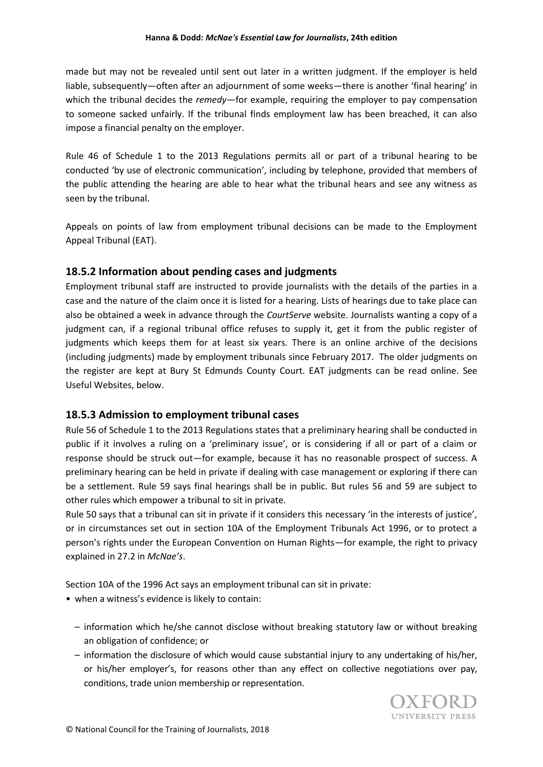made but may not be revealed until sent out later in a written judgment. If the employer is held liable, subsequently—often after an adjournment of some weeks—there is another 'final hearing' in which the tribunal decides the *remedy*—for example, requiring the employer to pay compensation to someone sacked unfairly. If the tribunal finds employment law has been breached, it can also impose a financial penalty on the employer.

Rule 46 of Schedule 1 to the 2013 Regulations permits all or part of a tribunal hearing to be conducted 'by use of electronic communication', including by telephone, provided that members of the public attending the hearing are able to hear what the tribunal hears and see any witness as seen by the tribunal.

Appeals on points of law from employment tribunal decisions can be made to the Employment Appeal Tribunal (EAT).

# **18.5.2 Information about pending cases and judgments**

Employment tribunal staff are instructed to provide journalists with the details of the parties in a case and the nature of the claim once it is listed for a hearing. Lists of hearings due to take place can also be obtained a week in advance through the *CourtServe* website. Journalists wanting a copy of a judgment can, if a regional tribunal office refuses to supply it, get it from the public register of judgments which keeps them for at least six years. There is an online archive of the decisions (including judgments) made by employment tribunals since February 2017. The older judgments on the register are kept at Bury St Edmunds County Court. EAT judgments can be read online. See Useful Websites, below.

### **18.5.3 Admission to employment tribunal cases**

Rule 56 of Schedule 1 to the 2013 Regulations states that a preliminary hearing shall be conducted in public if it involves a ruling on a 'preliminary issue', or is considering if all or part of a claim or response should be struck out—for example, because it has no reasonable prospect of success. A preliminary hearing can be held in private if dealing with case management or exploring if there can be a settlement. Rule 59 says final hearings shall be in public. But rules 56 and 59 are subject to other rules which empower a tribunal to sit in private.

Rule 50 says that a tribunal can sit in private if it considers this necessary 'in the interests of justice', or in circumstances set out in section 10A of the Employment Tribunals Act 1996, or to protect a person's rights under the European Convention on Human Rights—for example, the right to privacy explained in 27.2 in *McNae's*.

Section 10A of the 1996 Act says an employment tribunal can sit in private:

- when a witness's evidence is likely to contain:
	- information which he/she cannot disclose without breaking statutory law or without breaking an obligation of confidence; or
	- information the disclosure of which would cause substantial injury to any undertaking of his/her, or his/her employer's, for reasons other than any effect on collective negotiations over pay, conditions, trade union membership or representation.

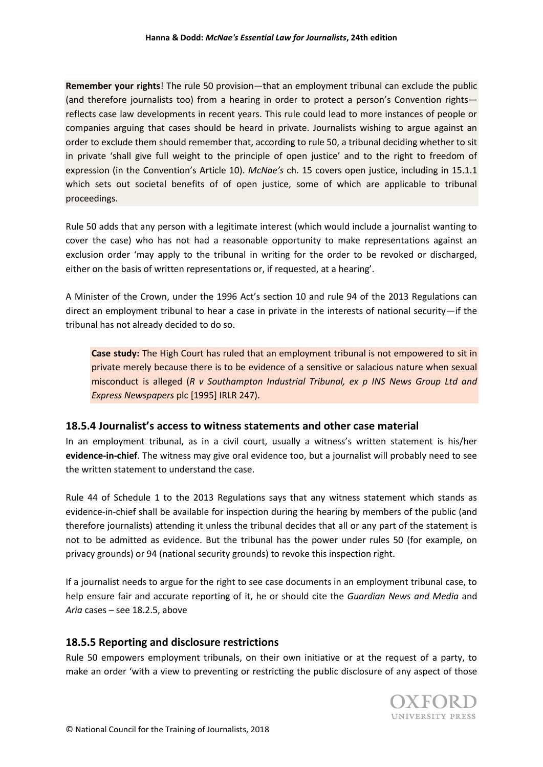**Remember your rights**! The rule 50 provision—that an employment tribunal can exclude the public (and therefore journalists too) from a hearing in order to protect a person's Convention rights reflects case law developments in recent years. This rule could lead to more instances of people or companies arguing that cases should be heard in private. Journalists wishing to argue against an order to exclude them should remember that, according to rule 50, a tribunal deciding whether to sit in private 'shall give full weight to the principle of open justice' and to the right to freedom of expression (in the Convention's Article 10). *McNae's* ch. 15 covers open justice, including in 15.1.1 which sets out societal benefits of of open justice, some of which are applicable to tribunal proceedings.

Rule 50 adds that any person with a legitimate interest (which would include a journalist wanting to cover the case) who has not had a reasonable opportunity to make representations against an exclusion order 'may apply to the tribunal in writing for the order to be revoked or discharged, either on the basis of written representations or, if requested, at a hearing'.

A Minister of the Crown, under the 1996 Act's section 10 and rule 94 of the 2013 Regulations can direct an employment tribunal to hear a case in private in the interests of national security—if the tribunal has not already decided to do so.

**Case study:** The High Court has ruled that an employment tribunal is not empowered to sit in private merely because there is to be evidence of a sensitive or salacious nature when sexual misconduct is alleged (*R v Southampton Industrial Tribunal, ex p INS News Group Ltd and Express Newspapers* plc [1995] IRLR 247).

# **18.5.4 Journalist's access to witness statements and other case material**

In an employment tribunal, as in a civil court, usually a witness's written statement is his/her **evidence-in-chief**. The witness may give oral evidence too, but a journalist will probably need to see the written statement to understand the case.

Rule 44 of Schedule 1 to the 2013 Regulations says that any witness statement which stands as evidence-in-chief shall be available for inspection during the hearing by members of the public (and therefore journalists) attending it unless the tribunal decides that all or any part of the statement is not to be admitted as evidence. But the tribunal has the power under rules 50 (for example, on privacy grounds) or 94 (national security grounds) to revoke this inspection right.

If a journalist needs to argue for the right to see case documents in an employment tribunal case, to help ensure fair and accurate reporting of it, he or should cite the *Guardian News and Media* and *Aria* cases – see 18.2.5, above

# **18.5.5 Reporting and disclosure restrictions**

Rule 50 empowers employment tribunals, on their own initiative or at the request of a party, to make an order 'with a view to preventing or restricting the public disclosure of any aspect of those

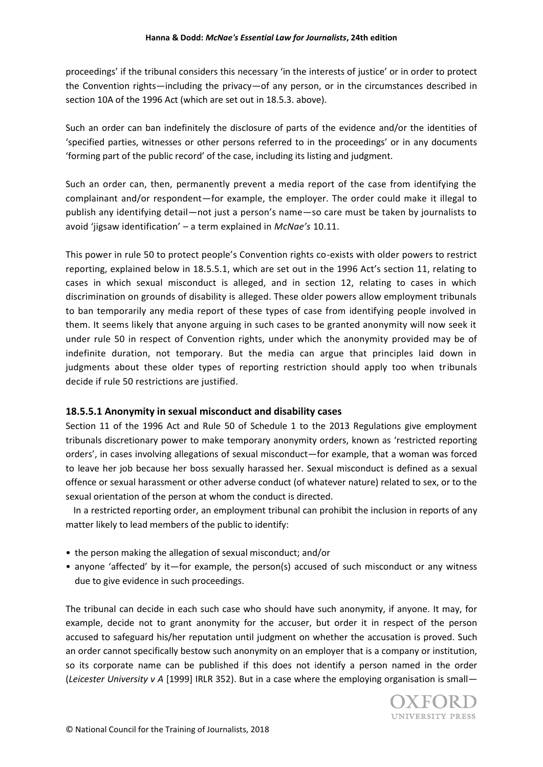proceedings' if the tribunal considers this necessary 'in the interests of justice' or in order to protect the Convention rights—including the privacy—of any person, or in the circumstances described in section 10A of the 1996 Act (which are set out in 18.5.3. above).

Such an order can ban indefinitely the disclosure of parts of the evidence and/or the identities of 'specified parties, witnesses or other persons referred to in the proceedings' or in any documents 'forming part of the public record' of the case, including its listing and judgment.

Such an order can, then, permanently prevent a media report of the case from identifying the complainant and/or respondent—for example, the employer. The order could make it illegal to publish any identifying detail—not just a person's name—so care must be taken by journalists to avoid 'jigsaw identification' – a term explained in *McNae's* 10.11.

This power in rule 50 to protect people's Convention rights co-exists with older powers to restrict reporting, explained below in 18.5.5.1, which are set out in the 1996 Act's section 11, relating to cases in which sexual misconduct is alleged, and in section 12, relating to cases in which discrimination on grounds of disability is alleged. These older powers allow employment tribunals to ban temporarily any media report of these types of case from identifying people involved in them. It seems likely that anyone arguing in such cases to be granted anonymity will now seek it under rule 50 in respect of Convention rights, under which the anonymity provided may be of indefinite duration, not temporary. But the media can argue that principles laid down in judgments about these older types of reporting restriction should apply too when tribunals decide if rule 50 restrictions are justified.

### **18.5.5.1 Anonymity in sexual misconduct and disability cases**

Section 11 of the 1996 Act and Rule 50 of Schedule 1 to the 2013 Regulations give employment tribunals discretionary power to make temporary anonymity orders, known as 'restricted reporting orders', in cases involving allegations of sexual misconduct—for example, that a woman was forced to leave her job because her boss sexually harassed her. Sexual misconduct is defined as a sexual offence or sexual harassment or other adverse conduct (of whatever nature) related to sex, or to the sexual orientation of the person at whom the conduct is directed.

In a restricted reporting order, an employment tribunal can prohibit the inclusion in reports of any matter likely to lead members of the public to identify:

- the person making the allegation of sexual misconduct; and/or
- anyone 'affected' by it—for example, the person(s) accused of such misconduct or any witness due to give evidence in such proceedings.

The tribunal can decide in each such case who should have such anonymity, if anyone. It may, for example, decide not to grant anonymity for the accuser, but order it in respect of the person accused to safeguard his/her reputation until judgment on whether the accusation is proved. Such an order cannot specifically bestow such anonymity on an employer that is a company or institution, so its corporate name can be published if this does not identify a person named in the order (*Leicester University v A* [1999] IRLR 352). But in a case where the employing organisation is small—

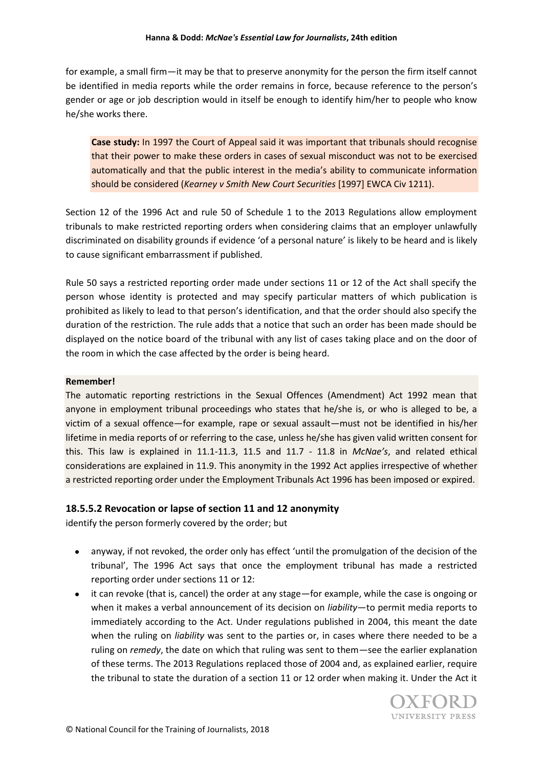for example, a small firm—it may be that to preserve anonymity for the person the firm itself cannot be identified in media reports while the order remains in force, because reference to the person's gender or age or job description would in itself be enough to identify him/her to people who know he/she works there.

**Case study:** In 1997 the Court of Appeal said it was important that tribunals should recognise that their power to make these orders in cases of sexual misconduct was not to be exercised automatically and that the public interest in the media's ability to communicate information should be considered (*Kearney v Smith New Court Securities* [1997] EWCA Civ 1211).

Section 12 of the 1996 Act and rule 50 of Schedule 1 to the 2013 Regulations allow employment tribunals to make restricted reporting orders when considering claims that an employer unlawfully discriminated on disability grounds if evidence 'of a personal nature' is likely to be heard and is likely to cause significant embarrassment if published.

Rule 50 says a restricted reporting order made under sections 11 or 12 of the Act shall specify the person whose identity is protected and may specify particular matters of which publication is prohibited as likely to lead to that person's identification, and that the order should also specify the duration of the restriction. The rule adds that a notice that such an order has been made should be displayed on the notice board of the tribunal with any list of cases taking place and on the door of the room in which the case affected by the order is being heard.

#### **Remember!**

The automatic reporting restrictions in the Sexual Offences (Amendment) Act 1992 mean that anyone in employment tribunal proceedings who states that he/she is, or who is alleged to be, a victim of a sexual offence—for example, rape or sexual assault—must not be identified in his/her lifetime in media reports of or referring to the case, unless he/she has given valid written consent for this. This law is explained in 11.1-11.3, 11.5 and 11.7 - 11.8 in *McNae's*, and related ethical considerations are explained in 11.9. This anonymity in the 1992 Act applies irrespective of whether a restricted reporting order under the Employment Tribunals Act 1996 has been imposed or expired.

### **18.5.5.2 Revocation or lapse of section 11 and 12 anonymity**

identify the person formerly covered by the order; but

- anyway, if not revoked, the order only has effect 'until the promulgation of the decision of the tribunal', The 1996 Act says that once the employment tribunal has made a restricted reporting order under sections 11 or 12:
- it can revoke (that is, cancel) the order at any stage—for example, while the case is ongoing or when it makes a verbal announcement of its decision on *liability*—to permit media reports to immediately according to the Act. Under regulations published in 2004, this meant the date when the ruling on *liability* was sent to the parties or, in cases where there needed to be a ruling on *remedy*, the date on which that ruling was sent to them—see the earlier explanation of these terms. The 2013 Regulations replaced those of 2004 and, as explained earlier, require the tribunal to state the duration of a section 11 or 12 order when making it. Under the Act it

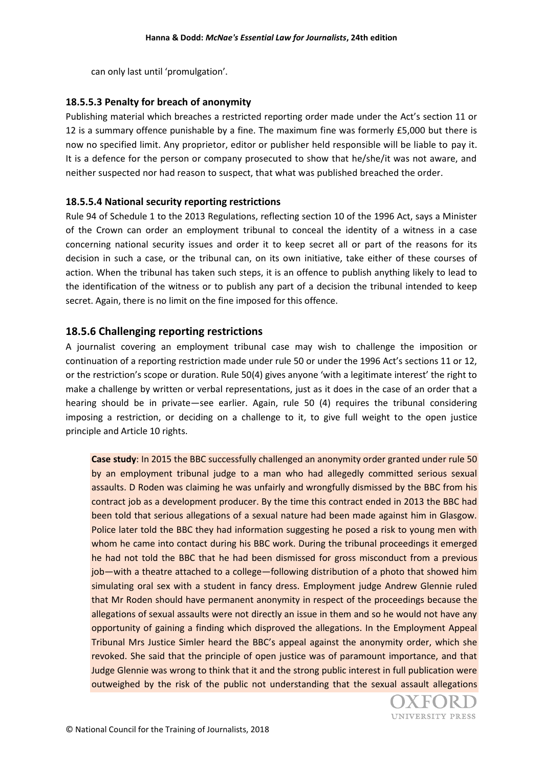can only last until 'promulgation'.

### **18.5.5.3 Penalty for breach of anonymity**

Publishing material which breaches a restricted reporting order made under the Act's section 11 or 12 is a summary offence punishable by a fine. The maximum fine was formerly £5,000 but there is now no specified limit. Any proprietor, editor or publisher held responsible will be liable to pay it. It is a defence for the person or company prosecuted to show that he/she/it was not aware, and neither suspected nor had reason to suspect, that what was published breached the order.

### **18.5.5.4 National security reporting restrictions**

Rule 94 of Schedule 1 to the 2013 Regulations, reflecting section 10 of the 1996 Act, says a Minister of the Crown can order an employment tribunal to conceal the identity of a witness in a case concerning national security issues and order it to keep secret all or part of the reasons for its decision in such a case, or the tribunal can, on its own initiative, take either of these courses of action. When the tribunal has taken such steps, it is an offence to publish anything likely to lead to the identification of the witness or to publish any part of a decision the tribunal intended to keep secret. Again, there is no limit on the fine imposed for this offence.

### **18.5.6 Challenging reporting restrictions**

A journalist covering an employment tribunal case may wish to challenge the imposition or continuation of a reporting restriction made under rule 50 or under the 1996 Act's sections 11 or 12, or the restriction's scope or duration. Rule 50(4) gives anyone 'with a legitimate interest' the right to make a challenge by written or verbal representations, just as it does in the case of an order that a hearing should be in private—see earlier. Again, rule 50 (4) requires the tribunal considering imposing a restriction, or deciding on a challenge to it, to give full weight to the open justice principle and Article 10 rights.

**Case study**: In 2015 the BBC successfully challenged an anonymity order granted under rule 50 by an employment tribunal judge to a man who had allegedly committed serious sexual assaults. D Roden was claiming he was unfairly and wrongfully dismissed by the BBC from his contract job as a development producer. By the time this contract ended in 2013 the BBC had been told that serious allegations of a sexual nature had been made against him in Glasgow. Police later told the BBC they had information suggesting he posed a risk to young men with whom he came into contact during his BBC work. During the tribunal proceedings it emerged he had not told the BBC that he had been dismissed for gross misconduct from a previous job—with a theatre attached to a college—following distribution of a photo that showed him simulating oral sex with a student in fancy dress. Employment judge Andrew Glennie ruled that Mr Roden should have permanent anonymity in respect of the proceedings because the allegations of sexual assaults were not directly an issue in them and so he would not have any opportunity of gaining a finding which disproved the allegations. In the Employment Appeal Tribunal Mrs Justice Simler heard the BBC's appeal against the anonymity order, which she revoked. She said that the principle of open justice was of paramount importance, and that Judge Glennie was wrong to think that it and the strong public interest in full publication were outweighed by the risk of the public not understanding that the sexual assault allegations

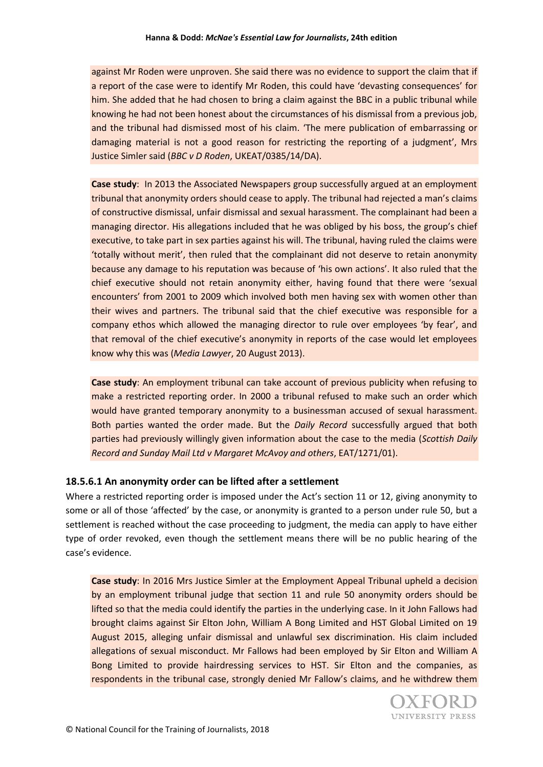against Mr Roden were unproven. She said there was no evidence to support the claim that if a report of the case were to identify Mr Roden, this could have 'devasting consequences' for him. She added that he had chosen to bring a claim against the BBC in a public tribunal while knowing he had not been honest about the circumstances of his dismissal from a previous job, and the tribunal had dismissed most of his claim. 'The mere publication of embarrassing or damaging material is not a good reason for restricting the reporting of a judgment', Mrs Justice Simler said (*BBC v D Roden*, UKEAT/0385/14/DA).

**Case study**: In 2013 the Associated Newspapers group successfully argued at an employment tribunal that anonymity orders should cease to apply. The tribunal had rejected a man's claims of constructive dismissal, unfair dismissal and sexual harassment. The complainant had been a managing director. His allegations included that he was obliged by his boss, the group's chief executive, to take part in sex parties against his will. The tribunal, having ruled the claims were 'totally without merit', then ruled that the complainant did not deserve to retain anonymity because any damage to his reputation was because of 'his own actions'. It also ruled that the chief executive should not retain anonymity either, having found that there were 'sexual encounters' from 2001 to 2009 which involved both men having sex with women other than their wives and partners. The tribunal said that the chief executive was responsible for a company ethos which allowed the managing director to rule over employees 'by fear', and that removal of the chief executive's anonymity in reports of the case would let employees know why this was (*Media Lawyer*, 20 August 2013).

**Case study**: An employment tribunal can take account of previous publicity when refusing to make a restricted reporting order. In 2000 a tribunal refused to make such an order which would have granted temporary anonymity to a businessman accused of sexual harassment. Both parties wanted the order made. But the *Daily Record* successfully argued that both parties had previously willingly given information about the case to the media (*Scottish Daily Record and Sunday Mail Ltd v Margaret McAvoy and others*, EAT/1271/01).

#### **18.5.6.1 An anonymity order can be lifted after a settlement**

Where a restricted reporting order is imposed under the Act's section 11 or 12, giving anonymity to some or all of those 'affected' by the case, or anonymity is granted to a person under rule 50, but a settlement is reached without the case proceeding to judgment, the media can apply to have either type of order revoked, even though the settlement means there will be no public hearing of the case's evidence.

**Case study**: In 2016 Mrs Justice Simler at the Employment Appeal Tribunal upheld a decision by an employment tribunal judge that section 11 and rule 50 anonymity orders should be lifted so that the media could identify the parties in the underlying case. In it John Fallows had brought claims against Sir Elton John, William A Bong Limited and HST Global Limited on 19 August 2015, alleging unfair dismissal and unlawful sex discrimination. His claim included allegations of sexual misconduct. Mr Fallows had been employed by Sir Elton and William A Bong Limited to provide hairdressing services to HST. Sir Elton and the companies, as respondents in the tribunal case, strongly denied Mr Fallow's claims, and he withdrew them

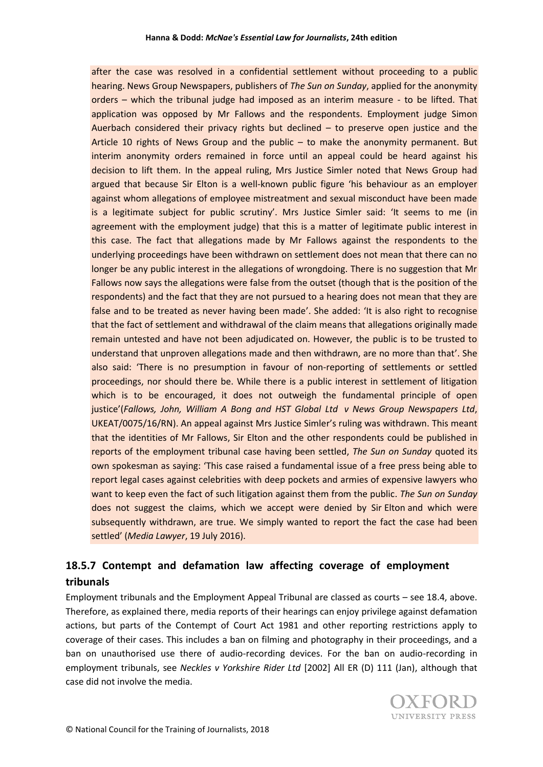after the case was resolved in a confidential settlement without proceeding to a public hearing. News Group Newspapers, publishers of *The Sun on Sunday*, applied for the anonymity orders – which the tribunal judge had imposed as an interim measure - to be lifted. That application was opposed by Mr Fallows and the respondents. Employment judge Simon Auerbach considered their privacy rights but declined  $-$  to preserve open justice and the Article 10 rights of News Group and the public – to make the anonymity permanent. But interim anonymity orders remained in force until an appeal could be heard against his decision to lift them. In the appeal ruling, Mrs Justice Simler noted that News Group had argued that because Sir Elton is a well-known public figure 'his behaviour as an employer against whom allegations of employee mistreatment and sexual misconduct have been made is a legitimate subject for public scrutiny'. Mrs Justice Simler said: 'It seems to me (in agreement with the employment judge) that this is a matter of legitimate public interest in this case. The fact that allegations made by Mr Fallows against the respondents to the underlying proceedings have been withdrawn on settlement does not mean that there can no longer be any public interest in the allegations of wrongdoing. There is no suggestion that Mr Fallows now says the allegations were false from the outset (though that is the position of the respondents) and the fact that they are not pursued to a hearing does not mean that they are false and to be treated as never having been made'. She added: 'It is also right to recognise that the fact of settlement and withdrawal of the claim means that allegations originally made remain untested and have not been adjudicated on. However, the public is to be trusted to understand that unproven allegations made and then withdrawn, are no more than that'. She also said: 'There is no presumption in favour of non-reporting of settlements or settled proceedings, nor should there be. While there is a public interest in settlement of litigation which is to be encouraged, it does not outweigh the fundamental principle of open justice'(*Fallows, John, William A Bong and HST Global Ltd v News Group Newspapers Ltd*, UKEAT/0075/16/RN). An appeal against Mrs Justice Simler's ruling was withdrawn. This meant that the identities of Mr Fallows, Sir Elton and the other respondents could be published in reports of the employment tribunal case having been settled, *The Sun on Sunday* quoted its own spokesman as saying: 'This case raised a fundamental issue of a free press being able to report legal cases against celebrities with deep pockets and armies of expensive lawyers who want to keep even the fact of such litigation against them from the public. *The Sun on Sunday*  does not suggest the claims, which we accept were denied by Sir Elton and which were subsequently withdrawn, are true. We simply wanted to report the fact the case had been settled' (*Media Lawyer*, 19 July 2016).

# **18.5.7 Contempt and defamation law affecting coverage of employment tribunals**

Employment tribunals and the Employment Appeal Tribunal are classed as courts – see 18.4, above. Therefore, as explained there, media reports of their hearings can enjoy privilege against defamation actions, but parts of the Contempt of Court Act 1981 and other reporting restrictions apply to coverage of their cases. This includes a ban on filming and photography in their proceedings, and a ban on unauthorised use there of audio-recording devices. For the ban on audio-recording in employment tribunals, see *Neckles v Yorkshire Rider Ltd* [2002] All ER (D) 111 (Jan), although that case did not involve the media.

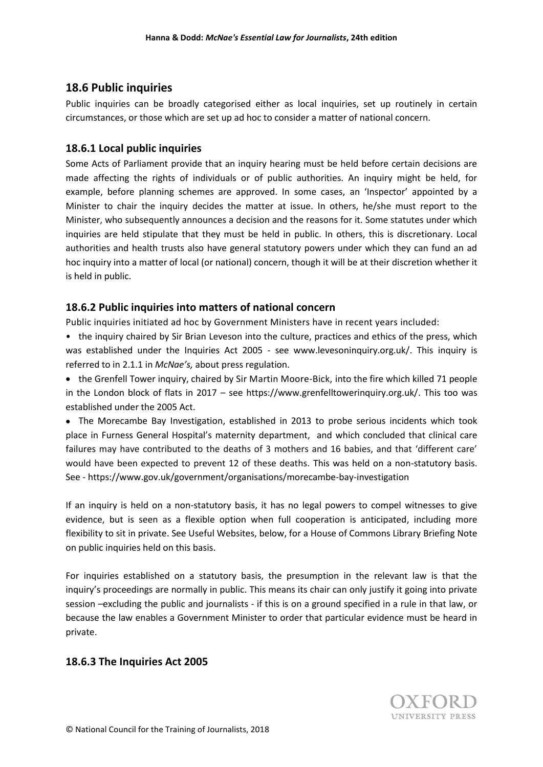# **18.6 Public inquiries**

Public inquiries can be broadly categorised either as local inquiries, set up routinely in certain circumstances, or those which are set up ad hoc to consider a matter of national concern.

# **18.6.1 Local public inquiries**

Some Acts of Parliament provide that an inquiry hearing must be held before certain decisions are made affecting the rights of individuals or of public authorities. An inquiry might be held, for example, before planning schemes are approved. In some cases, an 'Inspector' appointed by a Minister to chair the inquiry decides the matter at issue. In others, he/she must report to the Minister, who subsequently announces a decision and the reasons for it. Some statutes under which inquiries are held stipulate that they must be held in public. In others, this is discretionary. Local authorities and health trusts also have general statutory powers under which they can fund an ad hoc inquiry into a matter of local (or national) concern, though it will be at their discretion whether it is held in public.

# **18.6.2 Public inquiries into matters of national concern**

Public inquiries initiated ad hoc by Government Ministers have in recent years included:

• the inquiry chaired by Sir Brian Leveson into the culture, practices and ethics of the press, which was established under the Inquiries Act 2005 - see [www.levesoninquiry.org.uk/.](http://www.levesoninquiry.org.uk/) This inquiry is referred to in 2.1.1 in *McNae's,* about press regulation.

• the Grenfell Tower inquiry, chaired by Sir Martin Moore-Bick, into the fire which killed 71 people in the London block of flats in 2017 – see [https://www.grenfelltowerinquiry.org.uk/.](https://www.grenfelltowerinquiry.org.uk/) This too was established under the 2005 Act.

 The Morecambe Bay Investigation, established in 2013 to probe serious incidents which took place in Furness General Hospital's maternity department, and which concluded that clinical care failures may have contributed to the deaths of 3 mothers and 16 babies, and that 'different care' would have been expected to prevent 12 of these deaths. This was held on a non-statutory basis. See - https://www.gov.uk/government/organisations/morecambe-bay-investigation

If an inquiry is held on a non-statutory basis, it has no legal powers to compel witnesses to give evidence, but is seen as a flexible option when full cooperation is anticipated, including more flexibility to sit in private. See Useful Websites, below, for a House of Commons Library Briefing Note on public inquiries held on this basis.

For inquiries established on a statutory basis, the presumption in the relevant law is that the inquiry's proceedings are normally in public. This means its chair can only justify it going into private session –excluding the public and journalists - if this is on a ground specified in a rule in that law, or because the law enables a Government Minister to order that particular evidence must be heard in private.

# **18.6.3 The Inquiries Act 2005**

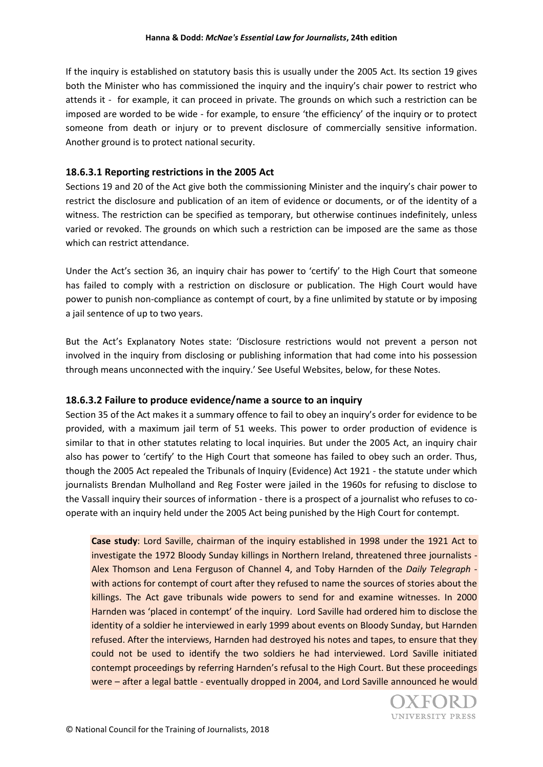If the inquiry is established on statutory basis this is usually under the 2005 Act. Its section 19 gives both the Minister who has commissioned the inquiry and the inquiry's chair power to restrict who attends it - for example, it can proceed in private. The grounds on which such a restriction can be imposed are worded to be wide - for example, to ensure 'the efficiency' of the inquiry or to protect someone from death or injury or to prevent disclosure of commercially sensitive information. Another ground is to protect national security.

### **18.6.3.1 Reporting restrictions in the 2005 Act**

Sections 19 and 20 of the Act give both the commissioning Minister and the inquiry's chair power to restrict the disclosure and publication of an item of evidence or documents, or of the identity of a witness. The restriction can be specified as temporary, but otherwise continues indefinitely, unless varied or revoked. The grounds on which such a restriction can be imposed are the same as those which can restrict attendance.

Under the Act's section 36, an inquiry chair has power to 'certify' to the High Court that someone has failed to comply with a restriction on disclosure or publication. The High Court would have power to punish non-compliance as contempt of court, by a fine unlimited by statute or by imposing a jail sentence of up to two years.

But the Act's Explanatory Notes state: 'Disclosure restrictions would not prevent a person not involved in the inquiry from disclosing or publishing information that had come into his possession through means unconnected with the inquiry.' See Useful Websites, below, for these Notes.

### **18.6.3.2 Failure to produce evidence/name a source to an inquiry**

Section 35 of the Act makes it a summary offence to fail to obey an inquiry's order for evidence to be provided, with a maximum jail term of 51 weeks. This power to order production of evidence is similar to that in other statutes relating to local inquiries. But under the 2005 Act, an inquiry chair also has power to 'certify' to the High Court that someone has failed to obey such an order. Thus, though the 2005 Act repealed the Tribunals of Inquiry (Evidence) Act 1921 - the statute under which journalists Brendan Mulholland and Reg Foster were jailed in the 1960s for refusing to disclose to the Vassall inquiry their sources of information - there is a prospect of a journalist who refuses to cooperate with an inquiry held under the 2005 Act being punished by the High Court for contempt.

**Case study**: Lord Saville, chairman of the inquiry established in 1998 under the 1921 Act to investigate the 1972 Bloody Sunday killings in Northern Ireland, threatened three journalists - Alex Thomson and Lena Ferguson of Channel 4, and Toby Harnden of the *Daily Telegraph* with actions for contempt of court after they refused to name the sources of stories about the killings. The Act gave tribunals wide powers to send for and examine witnesses. In 2000 Harnden was 'placed in contempt' of the inquiry. Lord Saville had ordered him to disclose the identity of a soldier he interviewed in early 1999 about events on Bloody Sunday, but Harnden refused. After the interviews, Harnden had destroyed his notes and tapes, to ensure that they could not be used to identify the two soldiers he had interviewed. Lord Saville initiated contempt proceedings by referring Harnden's refusal to the High Court. But these proceedings were – after a legal battle - eventually dropped in 2004, and Lord Saville announced he would

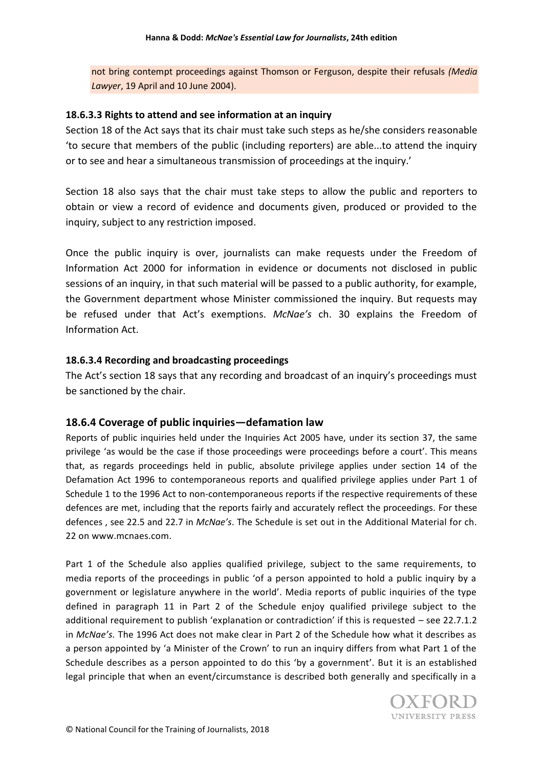not bring contempt proceedings against Thomson or Ferguson, despite their refusals *(Media Lawyer*, 19 April and 10 June 2004).

### **18.6.3.3 Rights to attend and see information at an inquiry**

Section 18 of the Act says that its chair must take such steps as he/she considers reasonable 'to secure that members of the public (including reporters) are able...to attend the inquiry or to see and hear a simultaneous transmission of proceedings at the inquiry.'

Section 18 also says that the chair must take steps to allow the public and reporters to obtain or view a record of evidence and documents given, produced or provided to the inquiry, subject to any restriction imposed.

Once the public inquiry is over, journalists can make requests under the Freedom of Information Act 2000 for information in evidence or documents not disclosed in public sessions of an inquiry, in that such material will be passed to a public authority, for example, the Government department whose Minister commissioned the inquiry. But requests may be refused under that Act's exemptions. *McNae's* ch. 30 explains the Freedom of Information Act.

### **18.6.3.4 Recording and broadcasting proceedings**

The Act's section 18 says that any recording and broadcast of an inquiry's proceedings must be sanctioned by the chair.

# **18.6.4 Coverage of public inquiries—defamation law**

Reports of public inquiries held under the Inquiries Act 2005 have, under its section 37, the same privilege 'as would be the case if those proceedings were proceedings before a court'. This means that, as regards proceedings held in public, absolute privilege applies under section 14 of the Defamation Act 1996 to contemporaneous reports and qualified privilege applies under Part 1 of Schedule 1 to the 1996 Act to non-contemporaneous reports if the respective requirements of these defences are met, including that the reports fairly and accurately reflect the proceedings. For these defences , see 22.5 and 22.7 in *McNae's*. The Schedule is set out in the Additional Material for ch. 22 on [www.mcnaes.com.](http://www.mcnaes.com/)

Part 1 of the Schedule also applies qualified privilege, subject to the same requirements, to media reports of the proceedings in public 'of a person appointed to hold a public inquiry by a government or legislature anywhere in the world'. Media reports of public inquiries of the type defined in paragraph 11 in Part 2 of the Schedule enjoy qualified privilege subject to the additional requirement to publish 'explanation or contradiction' if this is requested – see 22.7.1.2 in *McNae's.* The 1996 Act does not make clear in Part 2 of the Schedule how what it describes as a person appointed by 'a Minister of the Crown' to run an inquiry differs from what Part 1 of the Schedule describes as a person appointed to do this 'by a government'. But it is an established legal principle that when an event/circumstance is described both generally and specifically in a

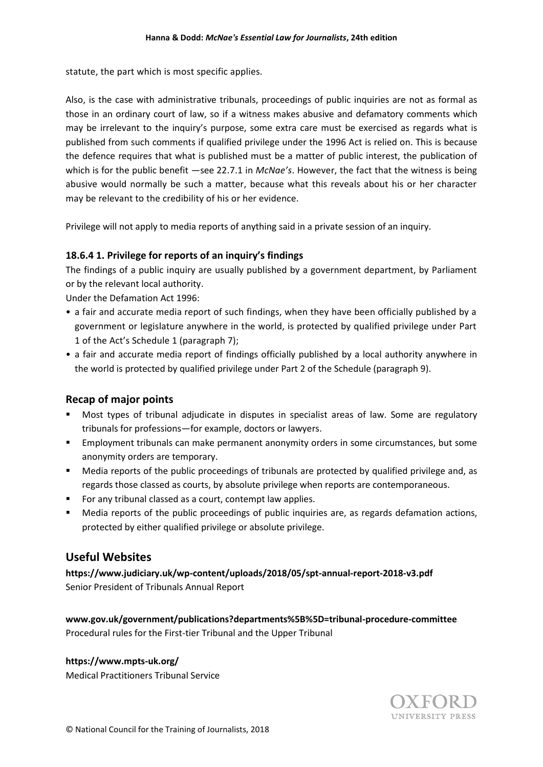statute, the part which is most specific applies.

Also, is the case with administrative tribunals, proceedings of public inquiries are not as formal as those in an ordinary court of law, so if a witness makes abusive and defamatory comments which may be irrelevant to the inquiry's purpose, some extra care must be exercised as regards what is published from such comments if qualified privilege under the 1996 Act is relied on. This is because the defence requires that what is published must be a matter of public interest, the publication of which is for the public benefit —see 22.7.1 in *McNae's*. However, the fact that the witness is being abusive would normally be such a matter, because what this reveals about his or her character may be relevant to the credibility of his or her evidence.

Privilege will not apply to media reports of anything said in a private session of an inquiry.

### **18.6.4 1. Privilege for reports of an inquiry's findings**

The findings of a public inquiry are usually published by a government department, by Parliament or by the relevant local authority.

Under the Defamation Act 1996:

- a fair and accurate media report of such findings, when they have been officially published by a government or legislature anywhere in the world, is protected by qualified privilege under Part 1 of the Act's Schedule 1 (paragraph 7);
- a fair and accurate media report of findings officially published by a local authority anywhere in the world is protected by qualified privilege under Part 2 of the Schedule (paragraph 9).

### **Recap of major points**

- Most types of tribunal adjudicate in disputes in specialist areas of law. Some are regulatory tribunals for professions—for example, doctors or lawyers.
- **Employment tribunals can make permanent anonymity orders in some circumstances, but some** anonymity orders are temporary.
- Media reports of the public proceedings of tribunals are protected by qualified privilege and, as regards those classed as courts, by absolute privilege when reports are contemporaneous.
- For any tribunal classed as a court, contempt law applies.
- Media reports of the public proceedings of public inquiries are, as regards defamation actions, protected by either qualified privilege or absolute privilege.

# **Useful Websites**

**<https://www.judiciary.uk/wp-content/uploads/2018/05/spt-annual-report-2018-v3.pdf>** Senior President of Tribunals Annual Report

**www.gov.uk/government/publications?departments%5B%5D=tribunal-procedure-committee** Procedural rules for the First-tier Tribunal and the Upper Tribunal

#### **<https://www.mpts-uk.org/>**

Medical Practitioners Tribunal Service